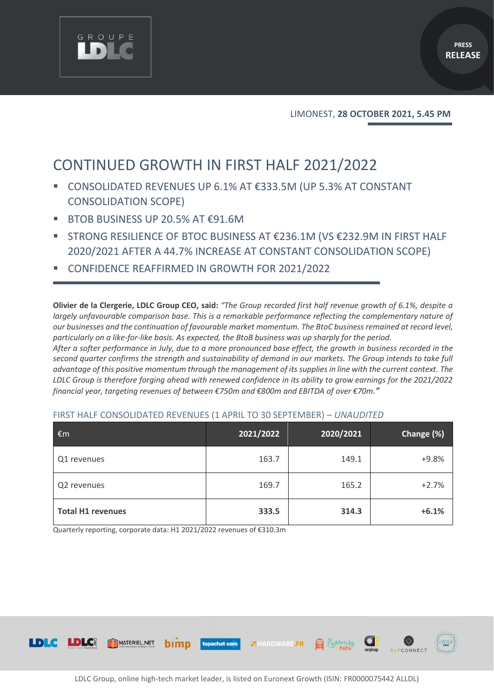

LIMONEST, **28 OCTOBER 2021, 5.45 PM**

# CONTINUED GROWTH IN FIRST HALF 2021/2022

- CONSOLIDATED REVENUES UP 6.1% AT €333.5M (UP 5.3% AT CONSTANT CONSOLIDATION SCOPE)
- BTOB BUSINESS UP 20.5% AT  $\epsilon$ 91.6M

GROUPE

- STRONG RESILIENCE OF BTOC BUSINESS AT €236.1M (VS €232.9M IN FIRST HALF 2020/2021 AFTER A 44.7% INCREASE AT CONSTANT CONSOLIDATION SCOPE)
- CONFIDENCE REAFFIRMED IN GROWTH FOR 2021/2022

**Olivier de la Clergerie, LDLC Group CEO, said:** *"The Group recorded first half revenue growth of 6.1%, despite a largely unfavourable comparison base. This is a remarkable performance reflecting the complementary nature of our businesses and the continuation of favourable market momentum. The BtoC business remained at record level, particularly on a like-for-like basis. As expected, the BtoB business was up sharply for the period.* 

*After a softer performance in July, due to a more pronounced base effect, the growth in business recorded in the*  second quarter confirms the strength and sustainability of demand in our markets. The Group intends to take full *advantage of this positive momentum through the management of its supplies in line with the current context. The LDLC Group is therefore forging ahead with renewed confidence in its ability to grow earnings for the 2021/2022 financial year, targeting revenues of between €750m and €800m and EBITDA of over €70m."*

| €m                       | 2021/2022 | 2020/2021 | Change (%) |
|--------------------------|-----------|-----------|------------|
| Q1 revenues              | 163.7     | 149.1     | $+9.8%$    |
| Q2 revenues              | 169.7     | 165.2     | $+2.7%$    |
| <b>Total H1 revenues</b> | 333.5     | 314.3     | $+6.1%$    |

#### FIRST HALF CONSOLIDATED REVENUES (1 APRIL TO 30 SEPTEMBER) – *UNAUDITED*

Quarterly reporting, corporate data: H1 2021/2022 revenues of €310.3m

bimp

MATERIEL.NET



**MHARDWARE.FR** 

Rimoire

topachat.com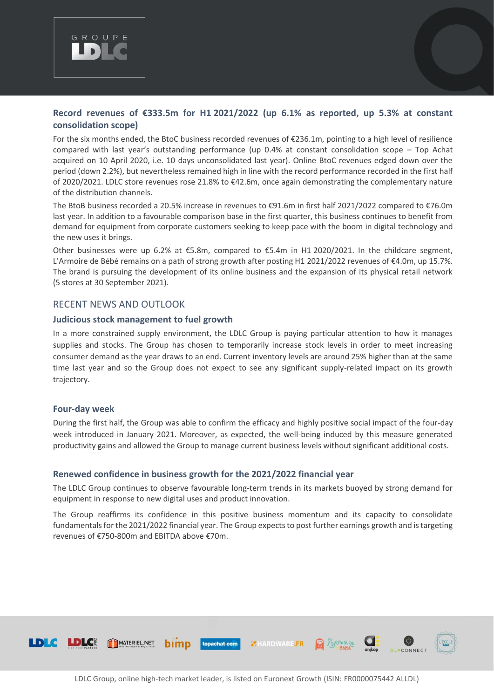

# **Record revenues of €333.5m for H1 2021/2022 (up 6.1% as reported, up 5.3% at constant consolidation scope)**

For the six months ended, the BtoC business recorded revenues of €236.1m, pointing to a high level of resilience compared with last year's outstanding performance (up 0.4% at constant consolidation scope – Top Achat acquired on 10 April 2020, i.e. 10 days unconsolidated last year). Online BtoC revenues edged down over the period (down 2.2%), but nevertheless remained high in line with the record performance recorded in the first half of 2020/2021. LDLC store revenues rose 21.8% to €42.6m, once again demonstrating the complementary nature of the distribution channels.

The BtoB business recorded a 20.5% increase in revenues to €91.6m in first half 2021/2022 compared to €76.0m last year. In addition to a favourable comparison base in the first quarter, this business continues to benefit from demand for equipment from corporate customers seeking to keep pace with the boom in digital technology and the new uses it brings.

Other businesses were up 6.2% at €5.8m, compared to €5.4m in H1 2020/2021. In the childcare segment, L'Armoire de Bébé remains on a path of strong growth after posting H1 2021/2022 revenues of €4.0m, up 15.7%. The brand is pursuing the development of its online business and the expansion of its physical retail network (5 stores at 30 September 2021).

## RECENT NEWS AND OUTLOOK

#### **Judicious stock management to fuel growth**

In a more constrained supply environment, the LDLC Group is paying particular attention to how it manages supplies and stocks. The Group has chosen to temporarily increase stock levels in order to meet increasing consumer demand as the year draws to an end. Current inventory levels are around 25% higher than at the same time last year and so the Group does not expect to see any significant supply-related impact on its growth trajectory.

#### **Four-day week**

During the first half, the Group was able to confirm the efficacy and highly positive social impact of the four-day week introduced in January 2021. Moreover, as expected, the well-being induced by this measure generated productivity gains and allowed the Group to manage current business levels without significant additional costs.

## **Renewed confidence in business growth for the 2021/2022 financial year**

The LDLC Group continues to observe favourable long-term trends in its markets buoyed by strong demand for equipment in response to new digital uses and product innovation.

The Group reaffirms its confidence in this positive business momentum and its capacity to consolidate fundamentals for the 2021/2022 financial year. The Group expects to post further earnings growth and is targeting revenues of €750-800m and EBITDA above €70m.